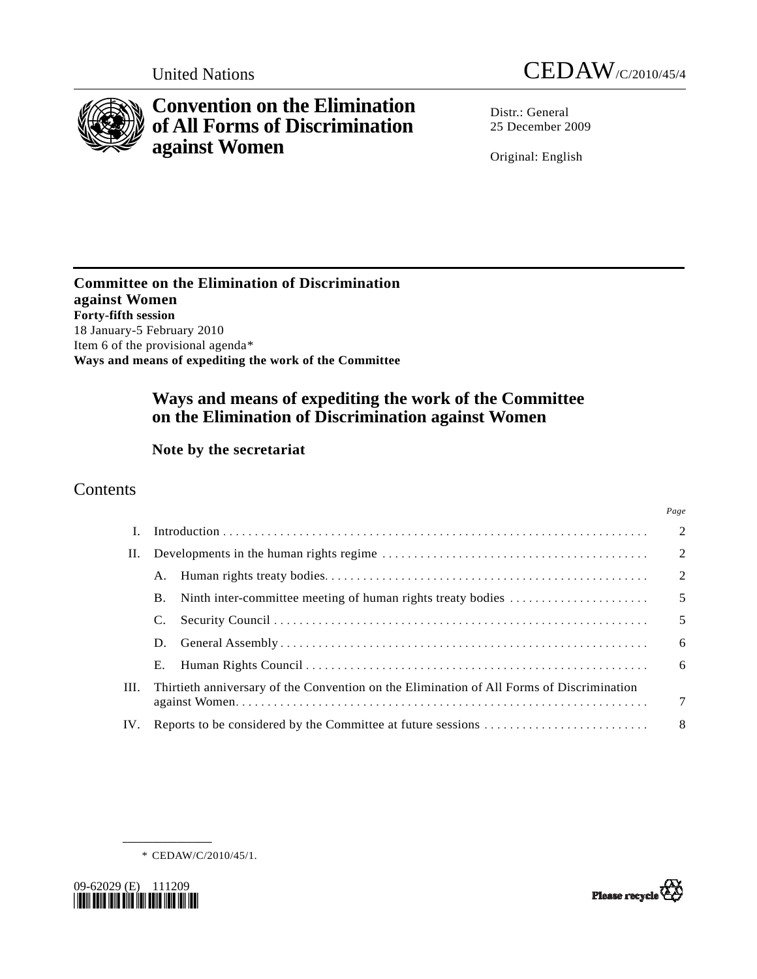



# **Convention on the Elimination of All Forms of Discrimination against Women**

Distr.: General 25 December 2009

Original: English

**Committee on the Elimination of Discrimination against Women Forty-fifth session**  18 January-5 February 2010 Item 6 of the provisional agenda[\\*](#page-0-0) **Ways and means of expediting the work of the Committee** 

# **Ways and means of expediting the work of the Committee on the Elimination of Discrimination against Women**

## **Note by the secretariat**

## **Contents**

|      |                                                              |                                                                                           | Page                     |  |
|------|--------------------------------------------------------------|-------------------------------------------------------------------------------------------|--------------------------|--|
|      |                                                              |                                                                                           | $\overline{2}$           |  |
| П.   |                                                              |                                                                                           | $\overline{2}$           |  |
|      |                                                              |                                                                                           | $\overline{2}$           |  |
|      | <b>B.</b>                                                    | Ninth inter-committee meeting of human rights treaty bodies                               | $\overline{\phantom{0}}$ |  |
|      |                                                              |                                                                                           | 5                        |  |
|      | D.                                                           |                                                                                           | 6                        |  |
|      | Е.                                                           |                                                                                           | -6                       |  |
| III. |                                                              | Thirtieth anniversary of the Convention on the Elimination of All Forms of Discrimination | $\overline{7}$           |  |
| IV.  | Reports to be considered by the Committee at future sessions |                                                                                           |                          |  |



**\_\_\_\_\_\_\_\_\_\_\_\_\_\_\_\_\_\_** 

<span id="page-0-0"></span>

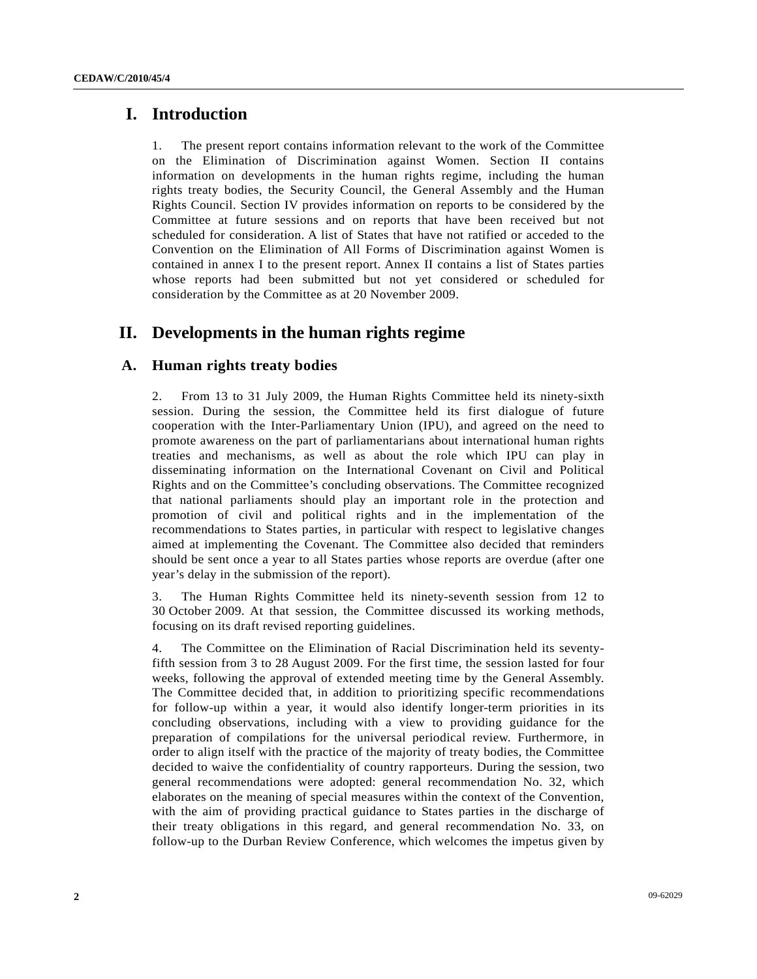## **I. Introduction**

1. The present report contains information relevant to the work of the Committee on the Elimination of Discrimination against Women. Section II contains information on developments in the human rights regime, including the human rights treaty bodies, the Security Council, the General Assembly and the Human Rights Council. Section IV provides information on reports to be considered by the Committee at future sessions and on reports that have been received but not scheduled for consideration. A list of States that have not ratified or acceded to the Convention on the Elimination of All Forms of Discrimination against Women is contained in annex I to the present report. Annex II contains a list of States parties whose reports had been submitted but not yet considered or scheduled for consideration by the Committee as at 20 November 2009.

## **II. Developments in the human rights regime**

### **A. Human rights treaty bodies**

2. From 13 to 31 July 2009, the Human Rights Committee held its ninety-sixth session. During the session, the Committee held its first dialogue of future cooperation with the Inter-Parliamentary Union (IPU), and agreed on the need to promote awareness on the part of parliamentarians about international human rights treaties and mechanisms, as well as about the role which IPU can play in disseminating information on the International Covenant on Civil and Political Rights and on the Committee's concluding observations. The Committee recognized that national parliaments should play an important role in the protection and promotion of civil and political rights and in the implementation of the recommendations to States parties, in particular with respect to legislative changes aimed at implementing the Covenant. The Committee also decided that reminders should be sent once a year to all States parties whose reports are overdue (after one year's delay in the submission of the report).

3. The Human Rights Committee held its ninety-seventh session from 12 to 30 October 2009. At that session, the Committee discussed its working methods, focusing on its draft revised reporting guidelines.

4. The Committee on the Elimination of Racial Discrimination held its seventyfifth session from 3 to 28 August 2009. For the first time, the session lasted for four weeks, following the approval of extended meeting time by the General Assembly. The Committee decided that, in addition to prioritizing specific recommendations for follow-up within a year, it would also identify longer-term priorities in its concluding observations, including with a view to providing guidance for the preparation of compilations for the universal periodical review. Furthermore, in order to align itself with the practice of the majority of treaty bodies, the Committee decided to waive the confidentiality of country rapporteurs. During the session, two general recommendations were adopted: general recommendation No. 32, which elaborates on the meaning of special measures within the context of the Convention, with the aim of providing practical guidance to States parties in the discharge of their treaty obligations in this regard, and general recommendation No. 33, on follow-up to the Durban Review Conference, which welcomes the impetus given by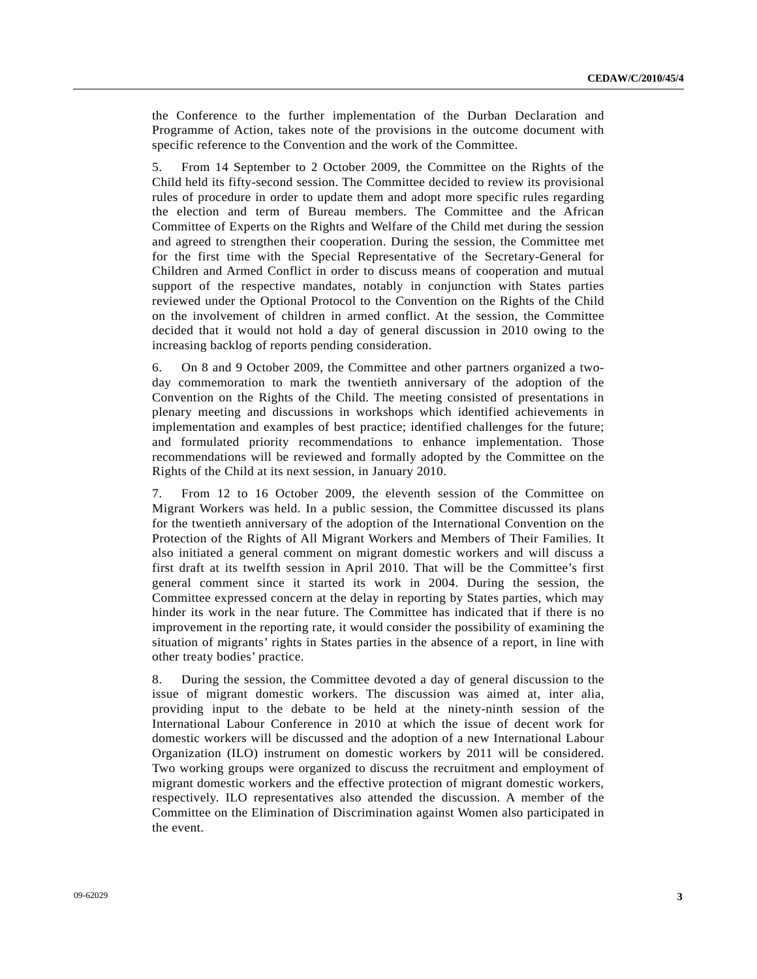the Conference to the further implementation of the Durban Declaration and Programme of Action, takes note of the provisions in the outcome document with specific reference to the Convention and the work of the Committee.

5. From 14 September to 2 October 2009, the Committee on the Rights of the Child held its fifty-second session. The Committee decided to review its provisional rules of procedure in order to update them and adopt more specific rules regarding the election and term of Bureau members. The Committee and the African Committee of Experts on the Rights and Welfare of the Child met during the session and agreed to strengthen their cooperation. During the session, the Committee met for the first time with the Special Representative of the Secretary-General for Children and Armed Conflict in order to discuss means of cooperation and mutual support of the respective mandates, notably in conjunction with States parties reviewed under the Optional Protocol to the Convention on the Rights of the Child on the involvement of children in armed conflict. At the session, the Committee decided that it would not hold a day of general discussion in 2010 owing to the increasing backlog of reports pending consideration.

6. On 8 and 9 October 2009, the Committee and other partners organized a twoday commemoration to mark the twentieth anniversary of the adoption of the Convention on the Rights of the Child. The meeting consisted of presentations in plenary meeting and discussions in workshops which identified achievements in implementation and examples of best practice; identified challenges for the future; and formulated priority recommendations to enhance implementation. Those recommendations will be reviewed and formally adopted by the Committee on the Rights of the Child at its next session, in January 2010.

7. From 12 to 16 October 2009, the eleventh session of the Committee on Migrant Workers was held. In a public session, the Committee discussed its plans for the twentieth anniversary of the adoption of the International Convention on the Protection of the Rights of All Migrant Workers and Members of Their Families. It also initiated a general comment on migrant domestic workers and will discuss a first draft at its twelfth session in April 2010. That will be the Committee's first general comment since it started its work in 2004. During the session, the Committee expressed concern at the delay in reporting by States parties, which may hinder its work in the near future. The Committee has indicated that if there is no improvement in the reporting rate, it would consider the possibility of examining the situation of migrants' rights in States parties in the absence of a report, in line with other treaty bodies' practice.

8. During the session, the Committee devoted a day of general discussion to the issue of migrant domestic workers. The discussion was aimed at, inter alia, providing input to the debate to be held at the ninety-ninth session of the International Labour Conference in 2010 at which the issue of decent work for domestic workers will be discussed and the adoption of a new International Labour Organization (ILO) instrument on domestic workers by 2011 will be considered. Two working groups were organized to discuss the recruitment and employment of migrant domestic workers and the effective protection of migrant domestic workers, respectively. ILO representatives also attended the discussion. A member of the Committee on the Elimination of Discrimination against Women also participated in the event.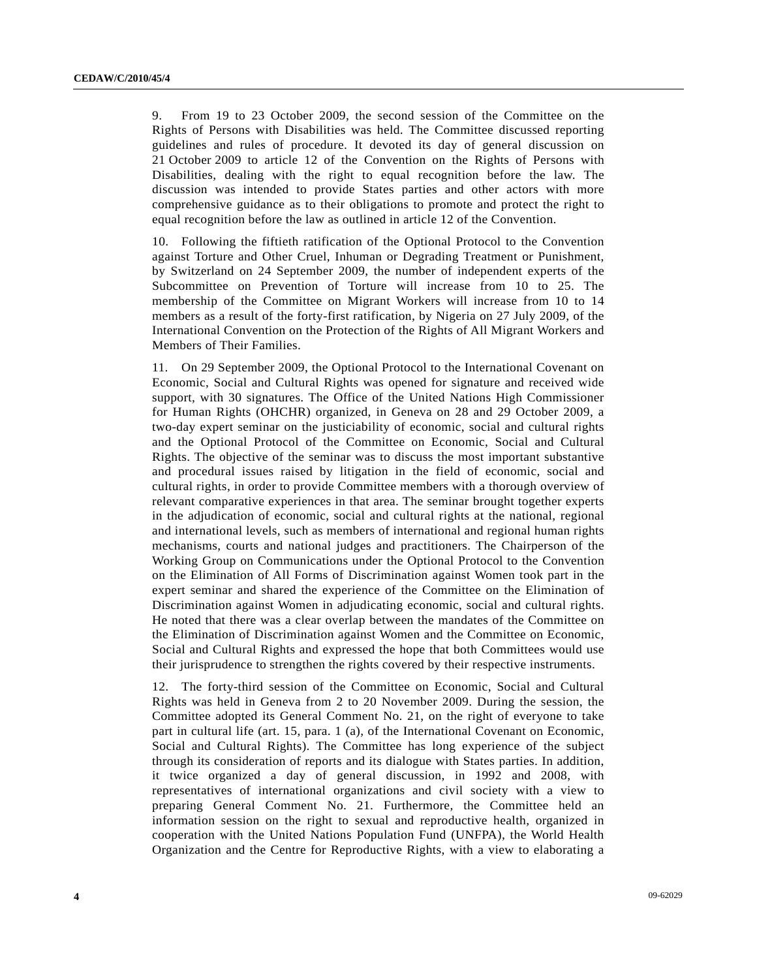9. From 19 to 23 October 2009, the second session of the Committee on the Rights of Persons with Disabilities was held. The Committee discussed reporting guidelines and rules of procedure. It devoted its day of general discussion on 21 October 2009 to article 12 of the Convention on the Rights of Persons with Disabilities, dealing with the right to equal recognition before the law. The discussion was intended to provide States parties and other actors with more comprehensive guidance as to their obligations to promote and protect the right to equal recognition before the law as outlined in article 12 of the Convention.

10. Following the fiftieth ratification of the Optional Protocol to the Convention against Torture and Other Cruel, Inhuman or Degrading Treatment or Punishment, by Switzerland on 24 September 2009, the number of independent experts of the Subcommittee on Prevention of Torture will increase from 10 to 25. The membership of the Committee on Migrant Workers will increase from 10 to 14 members as a result of the forty-first ratification, by Nigeria on 27 July 2009, of the International Convention on the Protection of the Rights of All Migrant Workers and Members of Their Families.

11. On 29 September 2009, the Optional Protocol to the International Covenant on Economic, Social and Cultural Rights was opened for signature and received wide support, with 30 signatures. The Office of the United Nations High Commissioner for Human Rights (OHCHR) organized, in Geneva on 28 and 29 October 2009, a two-day expert seminar on the justiciability of economic, social and cultural rights and the Optional Protocol of the Committee on Economic, Social and Cultural Rights. The objective of the seminar was to discuss the most important substantive and procedural issues raised by litigation in the field of economic, social and cultural rights, in order to provide Committee members with a thorough overview of relevant comparative experiences in that area. The seminar brought together experts in the adjudication of economic, social and cultural rights at the national, regional and international levels, such as members of international and regional human rights mechanisms, courts and national judges and practitioners. The Chairperson of the Working Group on Communications under the Optional Protocol to the Convention on the Elimination of All Forms of Discrimination against Women took part in the expert seminar and shared the experience of the Committee on the Elimination of Discrimination against Women in adjudicating economic, social and cultural rights. He noted that there was a clear overlap between the mandates of the Committee on the Elimination of Discrimination against Women and the Committee on Economic, Social and Cultural Rights and expressed the hope that both Committees would use their jurisprudence to strengthen the rights covered by their respective instruments.

12. The forty-third session of the Committee on Economic, Social and Cultural Rights was held in Geneva from 2 to 20 November 2009. During the session, the Committee adopted its General Comment No. 21, on the right of everyone to take part in cultural life (art. 15, para. 1 (a), of the International Covenant on Economic, Social and Cultural Rights). The Committee has long experience of the subject through its consideration of reports and its dialogue with States parties. In addition, it twice organized a day of general discussion, in 1992 and 2008, with representatives of international organizations and civil society with a view to preparing General Comment No. 21. Furthermore, the Committee held an information session on the right to sexual and reproductive health, organized in cooperation with the United Nations Population Fund (UNFPA), the World Health Organization and the Centre for Reproductive Rights, with a view to elaborating a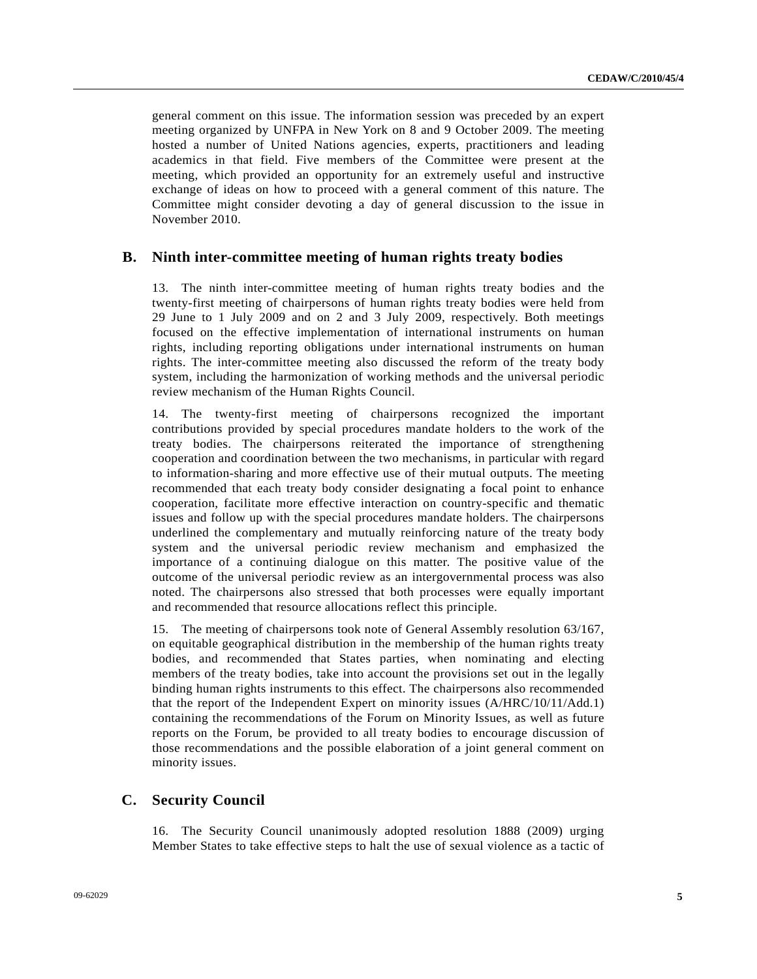general comment on this issue. The information session was preceded by an expert meeting organized by UNFPA in New York on 8 and 9 October 2009. The meeting hosted a number of United Nations agencies, experts, practitioners and leading academics in that field. Five members of the Committee were present at the meeting, which provided an opportunity for an extremely useful and instructive exchange of ideas on how to proceed with a general comment of this nature. The Committee might consider devoting a day of general discussion to the issue in November 2010.

#### **B. Ninth inter-committee meeting of human rights treaty bodies**

13. The ninth inter-committee meeting of human rights treaty bodies and the twenty-first meeting of chairpersons of human rights treaty bodies were held from 29 June to 1 July 2009 and on 2 and 3 July 2009, respectively. Both meetings focused on the effective implementation of international instruments on human rights, including reporting obligations under international instruments on human rights. The inter-committee meeting also discussed the reform of the treaty body system, including the harmonization of working methods and the universal periodic review mechanism of the Human Rights Council.

14. The twenty-first meeting of chairpersons recognized the important contributions provided by special procedures mandate holders to the work of the treaty bodies. The chairpersons reiterated the importance of strengthening cooperation and coordination between the two mechanisms, in particular with regard to information-sharing and more effective use of their mutual outputs. The meeting recommended that each treaty body consider designating a focal point to enhance cooperation, facilitate more effective interaction on country-specific and thematic issues and follow up with the special procedures mandate holders. The chairpersons underlined the complementary and mutually reinforcing nature of the treaty body system and the universal periodic review mechanism and emphasized the importance of a continuing dialogue on this matter. The positive value of the outcome of the universal periodic review as an intergovernmental process was also noted. The chairpersons also stressed that both processes were equally important and recommended that resource allocations reflect this principle.

15. The meeting of chairpersons took note of General Assembly resolution 63/167, on equitable geographical distribution in the membership of the human rights treaty bodies, and recommended that States parties, when nominating and electing members of the treaty bodies, take into account the provisions set out in the legally binding human rights instruments to this effect. The chairpersons also recommended that the report of the Independent Expert on minority issues (A/HRC/10/11/Add.1) containing the recommendations of the Forum on Minority Issues, as well as future reports on the Forum, be provided to all treaty bodies to encourage discussion of those recommendations and the possible elaboration of a joint general comment on minority issues.

#### **C. Security Council**

16. The Security Council unanimously adopted resolution 1888 (2009) urging Member States to take effective steps to halt the use of sexual violence as a tactic of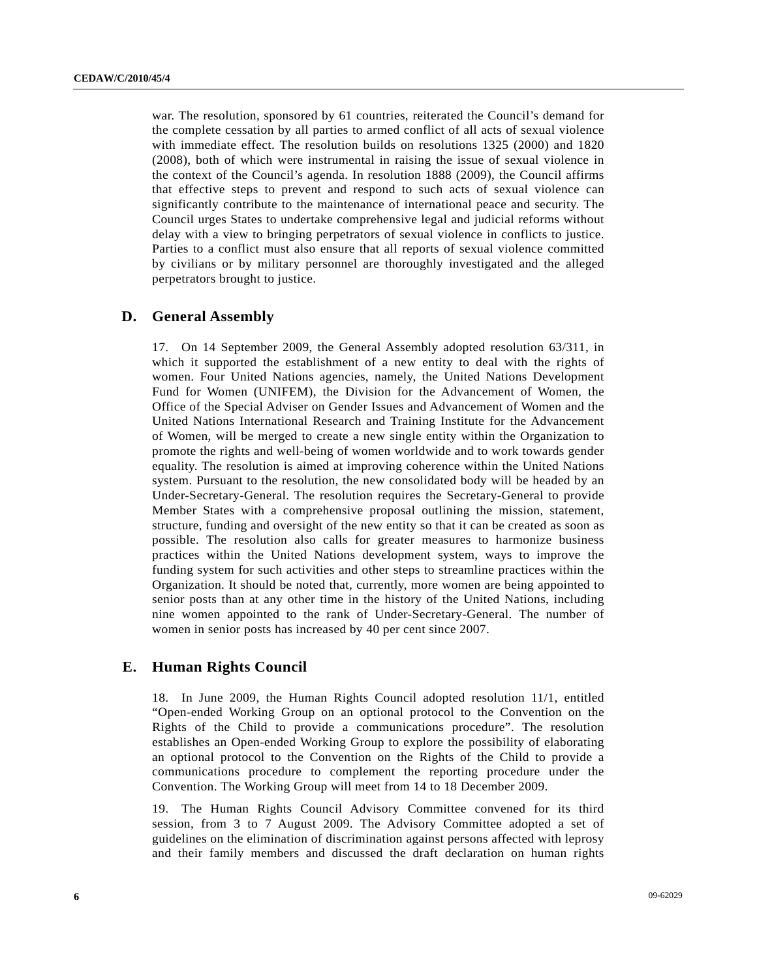war. The resolution, sponsored by 61 countries, reiterated the Council's demand for the complete cessation by all parties to armed conflict of all acts of sexual violence with immediate effect. The resolution builds on resolutions 1325 (2000) and 1820 (2008), both of which were instrumental in raising the issue of sexual violence in the context of the Council's agenda. In resolution 1888 (2009), the Council affirms that effective steps to prevent and respond to such acts of sexual violence can significantly contribute to the maintenance of international peace and security. The Council urges States to undertake comprehensive legal and judicial reforms without delay with a view to bringing perpetrators of sexual violence in conflicts to justice. Parties to a conflict must also ensure that all reports of sexual violence committed by civilians or by military personnel are thoroughly investigated and the alleged perpetrators brought to justice.

#### **D. General Assembly**

17. On 14 September 2009, the General Assembly adopted resolution 63/311, in which it supported the establishment of a new entity to deal with the rights of women. Four United Nations agencies, namely, the United Nations Development Fund for Women (UNIFEM), the Division for the Advancement of Women, the Office of the Special Adviser on Gender Issues and Advancement of Women and the United Nations International Research and Training Institute for the Advancement of Women, will be merged to create a new single entity within the Organization to promote the rights and well-being of women worldwide and to work towards gender equality. The resolution is aimed at improving coherence within the United Nations system. Pursuant to the resolution, the new consolidated body will be headed by an Under-Secretary-General. The resolution requires the Secretary-General to provide Member States with a comprehensive proposal outlining the mission, statement, structure, funding and oversight of the new entity so that it can be created as soon as possible. The resolution also calls for greater measures to harmonize business practices within the United Nations development system, ways to improve the funding system for such activities and other steps to streamline practices within the Organization. It should be noted that, currently, more women are being appointed to senior posts than at any other time in the history of the United Nations, including nine women appointed to the rank of Under-Secretary-General. The number of women in senior posts has increased by 40 per cent since 2007.

#### **E. Human Rights Council**

18. In June 2009, the Human Rights Council adopted resolution 11/1, entitled "Open-ended Working Group on an optional protocol to the Convention on the Rights of the Child to provide a communications procedure". The resolution establishes an Open-ended Working Group to explore the possibility of elaborating an optional protocol to the Convention on the Rights of the Child to provide a communications procedure to complement the reporting procedure under the Convention. The Working Group will meet from 14 to 18 December 2009.

19. The Human Rights Council Advisory Committee convened for its third session, from 3 to 7 August 2009. The Advisory Committee adopted a set of guidelines on the elimination of discrimination against persons affected with leprosy and their family members and discussed the draft declaration on human rights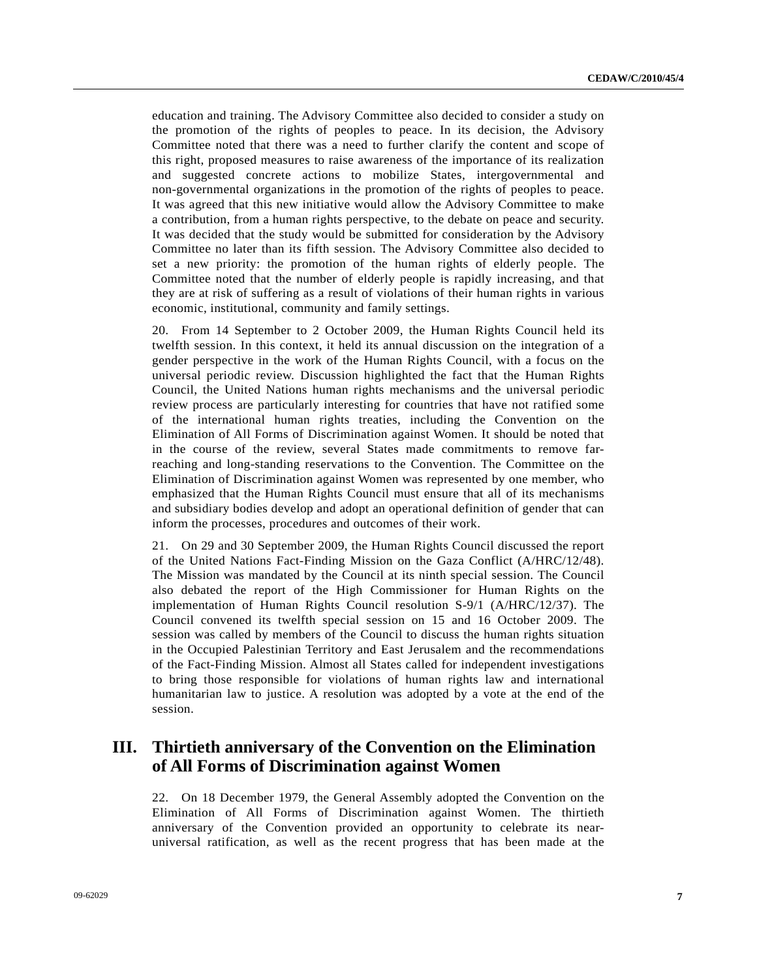education and training. The Advisory Committee also decided to consider a study on the promotion of the rights of peoples to peace. In its decision, the Advisory Committee noted that there was a need to further clarify the content and scope of this right, proposed measures to raise awareness of the importance of its realization and suggested concrete actions to mobilize States, intergovernmental and non-governmental organizations in the promotion of the rights of peoples to peace. It was agreed that this new initiative would allow the Advisory Committee to make a contribution, from a human rights perspective, to the debate on peace and security. It was decided that the study would be submitted for consideration by the Advisory Committee no later than its fifth session. The Advisory Committee also decided to set a new priority: the promotion of the human rights of elderly people. The Committee noted that the number of elderly people is rapidly increasing, and that they are at risk of suffering as a result of violations of their human rights in various economic, institutional, community and family settings.

20. From 14 September to 2 October 2009, the Human Rights Council held its twelfth session. In this context, it held its annual discussion on the integration of a gender perspective in the work of the Human Rights Council, with a focus on the universal periodic review. Discussion highlighted the fact that the Human Rights Council, the United Nations human rights mechanisms and the universal periodic review process are particularly interesting for countries that have not ratified some of the international human rights treaties, including the Convention on the Elimination of All Forms of Discrimination against Women. It should be noted that in the course of the review, several States made commitments to remove farreaching and long-standing reservations to the Convention. The Committee on the Elimination of Discrimination against Women was represented by one member, who emphasized that the Human Rights Council must ensure that all of its mechanisms and subsidiary bodies develop and adopt an operational definition of gender that can inform the processes, procedures and outcomes of their work.

21. On 29 and 30 September 2009, the Human Rights Council discussed the report of the United Nations Fact-Finding Mission on the Gaza Conflict (A/HRC/12/48). The Mission was mandated by the Council at its ninth special session. The Council also debated the report of the High Commissioner for Human Rights on the implementation of Human Rights Council resolution S-9/1 (A/HRC/12/37). The Council convened its twelfth special session on 15 and 16 October 2009. The session was called by members of the Council to discuss the human rights situation in the Occupied Palestinian Territory and East Jerusalem and the recommendations of the Fact-Finding Mission. Almost all States called for independent investigations to bring those responsible for violations of human rights law and international humanitarian law to justice. A resolution was adopted by a vote at the end of the session.

## **III. Thirtieth anniversary of the Convention on the Elimination of All Forms of Discrimination against Women**

22. On 18 December 1979, the General Assembly adopted the Convention on the Elimination of All Forms of Discrimination against Women. The thirtieth anniversary of the Convention provided an opportunity to celebrate its nearuniversal ratification, as well as the recent progress that has been made at the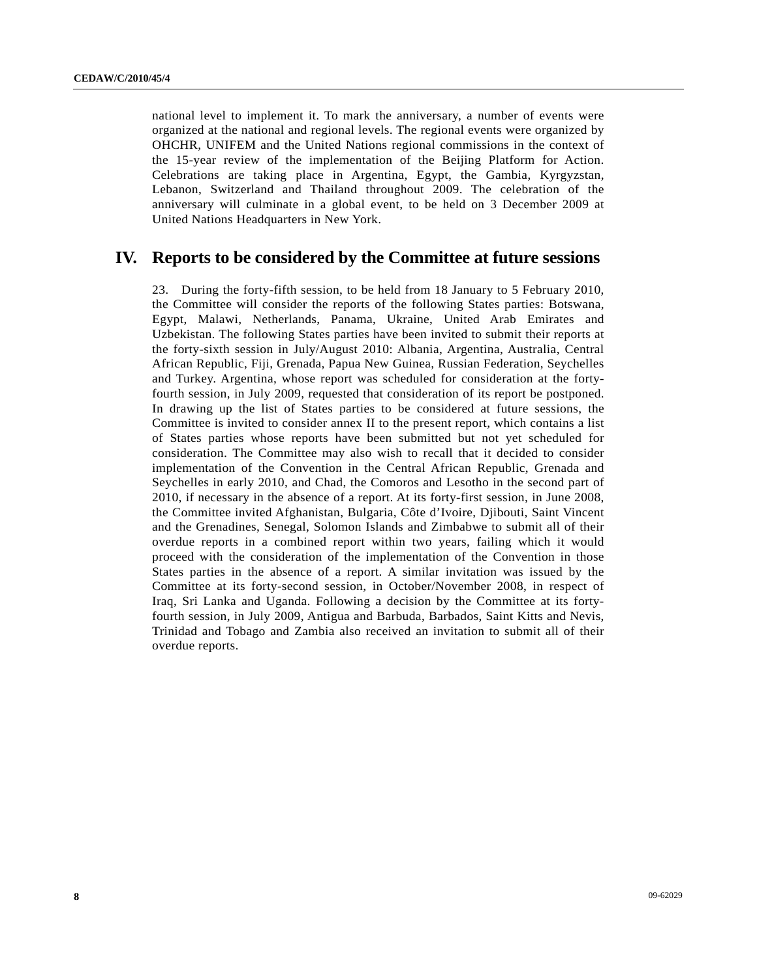national level to implement it. To mark the anniversary, a number of events were organized at the national and regional levels. The regional events were organized by OHCHR, UNIFEM and the United Nations regional commissions in the context of the 15-year review of the implementation of the Beijing Platform for Action. Celebrations are taking place in Argentina, Egypt, the Gambia, Kyrgyzstan, Lebanon, Switzerland and Thailand throughout 2009. The celebration of the anniversary will culminate in a global event, to be held on 3 December 2009 at United Nations Headquarters in New York.

## **IV. Reports to be considered by the Committee at future sessions**

23. During the forty-fifth session, to be held from 18 January to 5 February 2010, the Committee will consider the reports of the following States parties: Botswana, Egypt, Malawi, Netherlands, Panama, Ukraine, United Arab Emirates and Uzbekistan. The following States parties have been invited to submit their reports at the forty-sixth session in July/August 2010: Albania, Argentina, Australia, Central African Republic, Fiji, Grenada, Papua New Guinea, Russian Federation, Seychelles and Turkey. Argentina, whose report was scheduled for consideration at the fortyfourth session, in July 2009, requested that consideration of its report be postponed. In drawing up the list of States parties to be considered at future sessions, the Committee is invited to consider annex II to the present report, which contains a list of States parties whose reports have been submitted but not yet scheduled for consideration. The Committee may also wish to recall that it decided to consider implementation of the Convention in the Central African Republic, Grenada and Seychelles in early 2010, and Chad, the Comoros and Lesotho in the second part of 2010, if necessary in the absence of a report. At its forty-first session, in June 2008, the Committee invited Afghanistan, Bulgaria, Côte d'Ivoire, Djibouti, Saint Vincent and the Grenadines, Senegal, Solomon Islands and Zimbabwe to submit all of their overdue reports in a combined report within two years, failing which it would proceed with the consideration of the implementation of the Convention in those States parties in the absence of a report. A similar invitation was issued by the Committee at its forty-second session, in October/November 2008, in respect of Iraq, Sri Lanka and Uganda. Following a decision by the Committee at its fortyfourth session, in July 2009, Antigua and Barbuda, Barbados, Saint Kitts and Nevis, Trinidad and Tobago and Zambia also received an invitation to submit all of their overdue reports.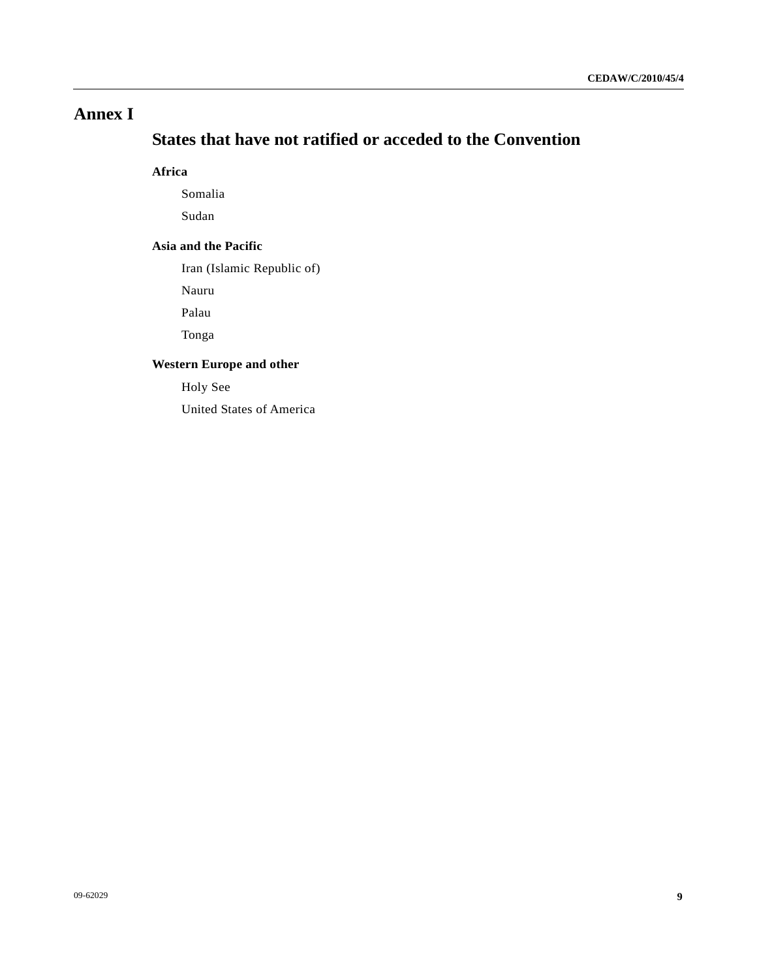# **Annex I**

# **States that have not ratified or acceded to the Convention**

### **Africa**

Somalia

Sudan

#### **Asia and the Pacific**

Iran (Islamic Republic of)

Nauru

Palau

Tonga

#### **Western Europe and other**

Holy See

United States of America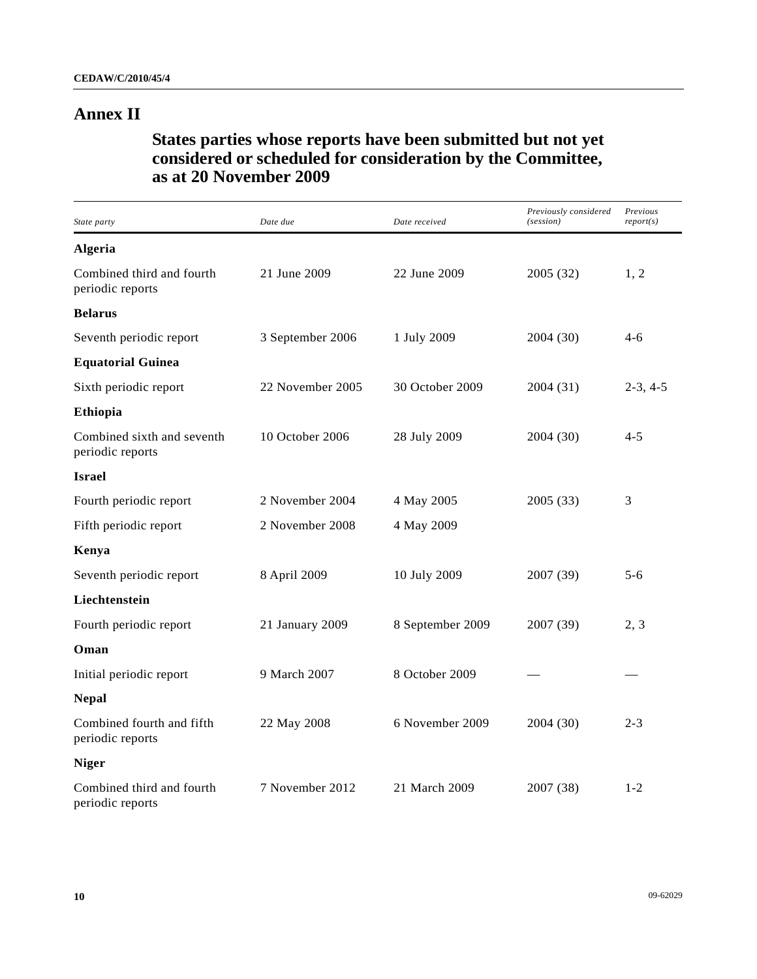# **Annex II**

 **States parties whose reports have been submitted but not yet considered or scheduled for consideration by the Committee, as at 20 November 2009** 

| State party                                    | Date due         | Date received    | Previously considered<br>(session) | Previous<br>report(s) |
|------------------------------------------------|------------------|------------------|------------------------------------|-----------------------|
| <b>Algeria</b>                                 |                  |                  |                                    |                       |
| Combined third and fourth<br>periodic reports  | 21 June 2009     | 22 June 2009     | 2005 (32)                          | 1, 2                  |
| <b>Belarus</b>                                 |                  |                  |                                    |                       |
| Seventh periodic report                        | 3 September 2006 | 1 July 2009      | 2004 (30)                          | $4-6$                 |
| <b>Equatorial Guinea</b>                       |                  |                  |                                    |                       |
| Sixth periodic report                          | 22 November 2005 | 30 October 2009  | 2004 (31)                          | $2-3, 4-5$            |
| Ethiopia                                       |                  |                  |                                    |                       |
| Combined sixth and seventh<br>periodic reports | 10 October 2006  | 28 July 2009     | 2004 (30)                          | $4 - 5$               |
| <b>Israel</b>                                  |                  |                  |                                    |                       |
| Fourth periodic report                         | 2 November 2004  | 4 May 2005       | 2005 (33)                          | 3                     |
| Fifth periodic report                          | 2 November 2008  | 4 May 2009       |                                    |                       |
| Kenya                                          |                  |                  |                                    |                       |
| Seventh periodic report                        | 8 April 2009     | 10 July 2009     | 2007 (39)                          | $5-6$                 |
| Liechtenstein                                  |                  |                  |                                    |                       |
| Fourth periodic report                         | 21 January 2009  | 8 September 2009 | 2007 (39)                          | 2, 3                  |
| Oman                                           |                  |                  |                                    |                       |
| Initial periodic report                        | 9 March 2007     | 8 October 2009   |                                    |                       |
| <b>Nepal</b>                                   |                  |                  |                                    |                       |
| Combined fourth and fifth<br>periodic reports  | 22 May 2008      | 6 November 2009  | 2004 (30)                          | $2 - 3$               |
| <b>Niger</b>                                   |                  |                  |                                    |                       |
| Combined third and fourth<br>periodic reports  | 7 November 2012  | 21 March 2009    | 2007 (38)                          | $1 - 2$               |